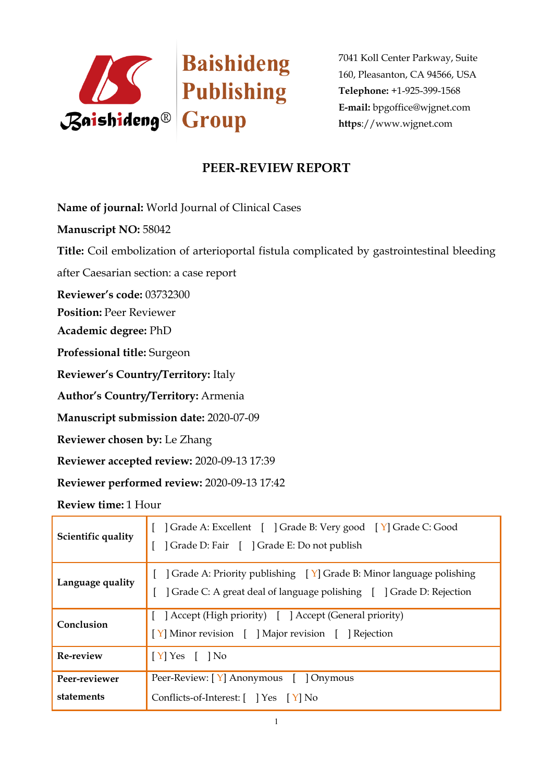

# **PEER-REVIEW REPORT**

**Name of journal:** World Journal of Clinical Cases

**Manuscript NO:** 58042

**Title:** Coil embolization of arterioportal fistula complicated by gastrointestinal bleeding

after Caesarian section: a case report

**Reviewer's code:** 03732300

**Position:** Peer Reviewer

**Academic degree:** PhD

**Professional title:** Surgeon

**Reviewer's Country/Territory:** Italy

**Author's Country/Territory:** Armenia

**Manuscript submission date:** 2020-07-09

**Reviewer chosen by:** Le Zhang

**Reviewer accepted review:** 2020-09-13 17:39

**Reviewer performed review:** 2020-09-13 17:42

**Review time:** 1 Hour

| Scientific quality          | [ ] Grade A: Excellent [ ] Grade B: Very good [ Y] Grade C: Good<br>] Grade D: Fair [ ] Grade E: Do not publish                                                       |
|-----------------------------|-----------------------------------------------------------------------------------------------------------------------------------------------------------------------|
| Language quality            | [ $\int$ Grade A: Priority publishing $\left[\gamma\right]$ Grade B: Minor language polishing<br>] Grade C: A great deal of language polishing [ ] Grade D: Rejection |
| Conclusion                  | [ ] Accept (High priority) [ ] Accept (General priority)<br>[Y] Minor revision [ ] Major revision [ ] Rejection                                                       |
| Re-review                   | $\vert$ [Y] Yes [ ] No                                                                                                                                                |
| Peer-reviewer<br>statements | Peer-Review: [Y] Anonymous [ ] Onymous<br>Conflicts-of-Interest: [ ] Yes [Y] No                                                                                       |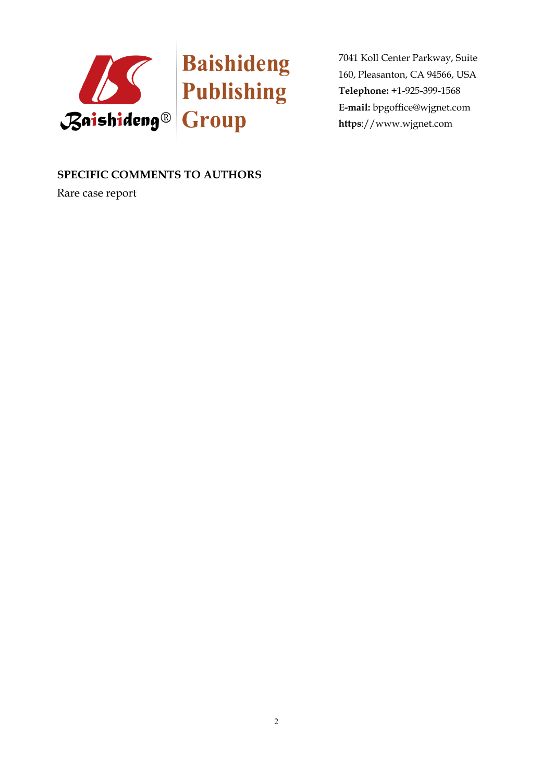

### **SPECIFIC COMMENTS TO AUTHORS**

Rare case report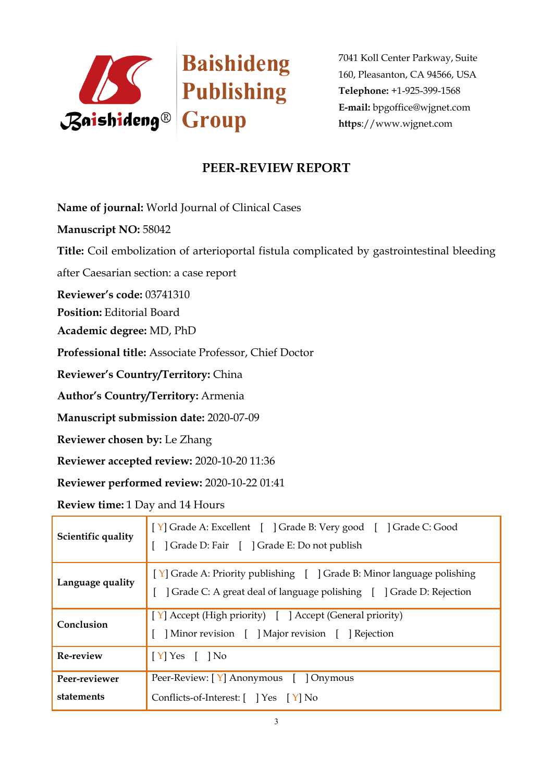

# **PEER-REVIEW REPORT**

**Name of journal:** World Journal of Clinical Cases

**Manuscript NO:** 58042

**Title:** Coil embolization of arterioportal fistula complicated by gastrointestinal bleeding

after Caesarian section: a case report

**Reviewer's code:** 03741310

**Position:** Editorial Board

**Academic degree:** MD, PhD

**Professional title:** Associate Professor, Chief Doctor

**Reviewer's Country/Territory:** China

**Author's Country/Territory:** Armenia

**Manuscript submission date:** 2020-07-09

**Reviewer chosen by:** Le Zhang

**Reviewer accepted review:** 2020-10-20 11:36

**Reviewer performed review:** 2020-10-22 01:41

**Review time:** 1 Day and 14 Hours

| Scientific quality          | [Y] Grade A: Excellent [ ] Grade B: Very good [ ] Grade C: Good<br>] Grade D: Fair [ ] Grade E: Do not publish                                 |
|-----------------------------|------------------------------------------------------------------------------------------------------------------------------------------------|
| Language quality            | [Y] Grade A: Priority publishing [ ] Grade B: Minor language polishing<br>] Grade C: A great deal of language polishing [ ] Grade D: Rejection |
| Conclusion                  | $\vert$ [Y] Accept (High priority) [ ] Accept (General priority)<br>Minor revision [ ] Major revision [ ] Rejection                            |
| Re-review                   | $\vert$ [Y] Yes [ ] No                                                                                                                         |
| Peer-reviewer<br>statements | Peer-Review: [Y] Anonymous [ ] Onymous<br>Conflicts-of-Interest: [ ] Yes [Y] No                                                                |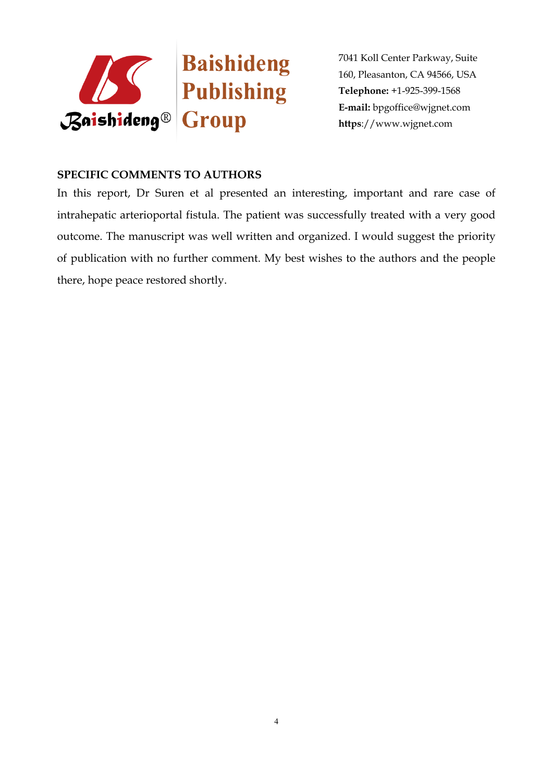

#### **SPECIFIC COMMENTS TO AUTHORS**

In this report, Dr Suren et al presented an interesting, important and rare case of intrahepatic arterioportal fistula. The patient was successfully treated with a very good outcome. The manuscript was well written and organized. I would suggest the priority of publication with no further comment. My best wishes to the authors and the people there, hope peace restored shortly.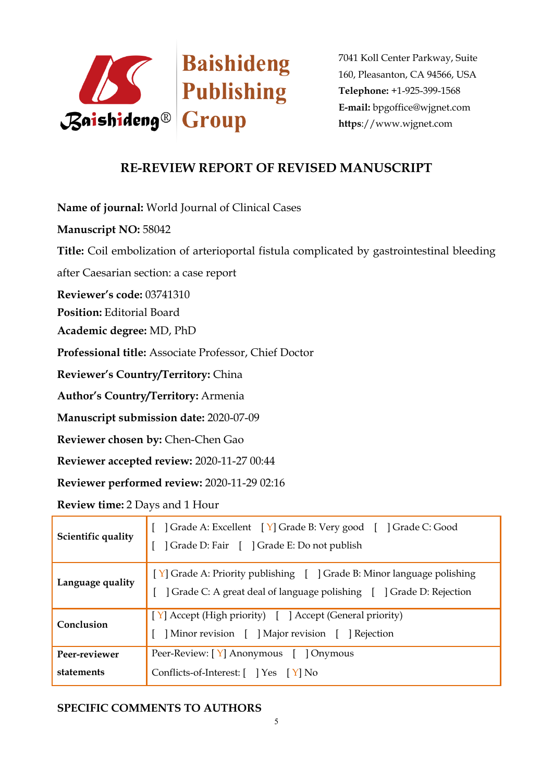

## **RE-REVIEW REPORT OF REVISED MANUSCRIPT**

**Name of journal:** World Journal of Clinical Cases

**Manuscript NO:** 58042

**Title:** Coil embolization of arterioportal fistula complicated by gastrointestinal bleeding

after Caesarian section: a case report

**Reviewer's code:** 03741310

**Position:** Editorial Board

**Academic degree:** MD, PhD

**Professional title:** Associate Professor, Chief Doctor

**Reviewer's Country/Territory:** China

**Author's Country/Territory:** Armenia

**Manuscript submission date:** 2020-07-09

**Reviewer chosen by:** Chen-Chen Gao

**Reviewer accepted review:** 2020-11-27 00:44

**Reviewer performed review:** 2020-11-29 02:16

**Review time:** 2 Days and 1 Hour

| Scientific quality          | Crade A: Excellent [Y] Grade B: Very good [ ] Grade C: Good<br>  Grade D: Fair [ ] Grade E: Do not publish                                     |
|-----------------------------|------------------------------------------------------------------------------------------------------------------------------------------------|
| Language quality            | [Y] Grade A: Priority publishing [ ] Grade B: Minor language polishing<br>] Grade C: A great deal of language polishing [ ] Grade D: Rejection |
| Conclusion                  | [Y] Accept (High priority) [ ] Accept (General priority)<br>Minor revision [ ] Major revision [ ] Rejection                                    |
| Peer-reviewer<br>statements | Peer-Review: [Y] Anonymous [ ] Onymous<br>Conflicts-of-Interest: $[$ $]$ Yes $[$ Y $]$ No                                                      |

### **SPECIFIC COMMENTS TO AUTHORS**